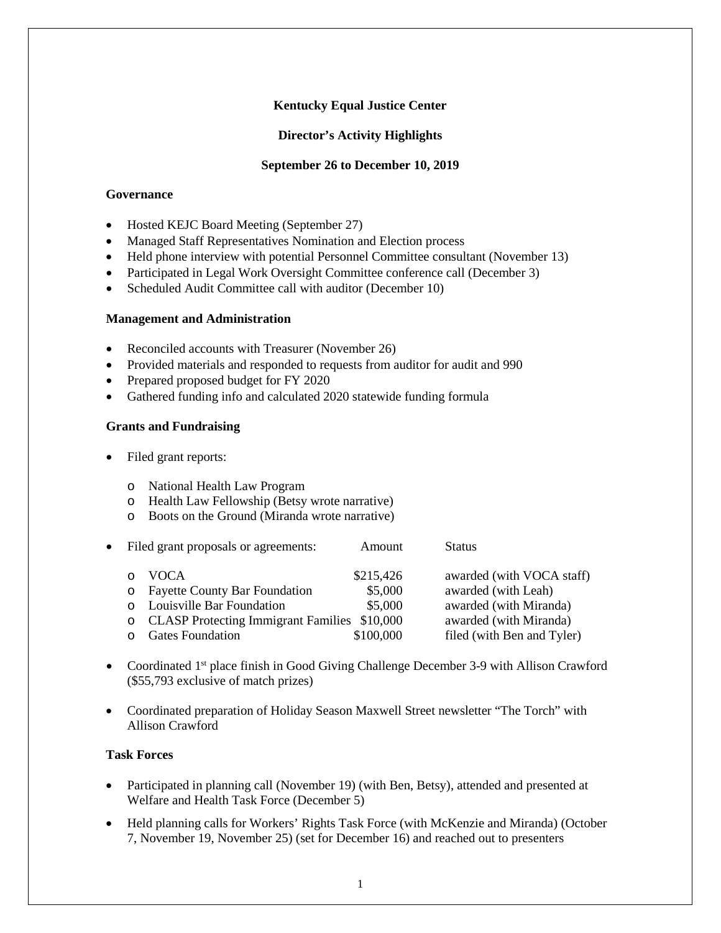# **Kentucky Equal Justice Center**

### **Director's Activity Highlights**

#### **September 26 to December 10, 2019**

### **Governance**

- Hosted KEJC Board Meeting (September 27)
- Managed Staff Representatives Nomination and Election process
- Held phone interview with potential Personnel Committee consultant (November 13)
- Participated in Legal Work Oversight Committee conference call (December 3)
- Scheduled Audit Committee call with auditor (December 10)

#### **Management and Administration**

- Reconciled accounts with Treasurer (November 26)
- Provided materials and responded to requests from auditor for audit and 990
- Prepared proposed budget for FY 2020
- Gathered funding info and calculated 2020 statewide funding formula

# **Grants and Fundraising**

- Filed grant reports:
	- o National Health Law Program
	- o Health Law Fellowship (Betsy wrote narrative)
	- o Boots on the Ground (Miranda wrote narrative)

|   | • Filed grant proposals or agreements:         | Amount    | <b>Status</b>              |
|---|------------------------------------------------|-----------|----------------------------|
| O | <b>VOCA</b>                                    | \$215,426 | awarded (with VOCA staff)  |
|   | o Fayette County Bar Foundation                | \$5,000   | awarded (with Leah)        |
|   | o Louisville Bar Foundation                    | \$5,000   | awarded (with Miranda)     |
|   | o CLASP Protecting Immigrant Families \$10,000 |           | awarded (with Miranda)     |
|   | <b>Gates Foundation</b>                        | \$100,000 | filed (with Ben and Tyler) |
|   |                                                |           |                            |

- Coordinated 1<sup>st</sup> place finish in Good Giving Challenge December 3-9 with Allison Crawford (\$55,793 exclusive of match prizes)
- Coordinated preparation of Holiday Season Maxwell Street newsletter "The Torch" with Allison Crawford

## **Task Forces**

- Participated in planning call (November 19) (with Ben, Betsy), attended and presented at Welfare and Health Task Force (December 5)
- Held planning calls for Workers' Rights Task Force (with McKenzie and Miranda) (October 7, November 19, November 25) (set for December 16) and reached out to presenters